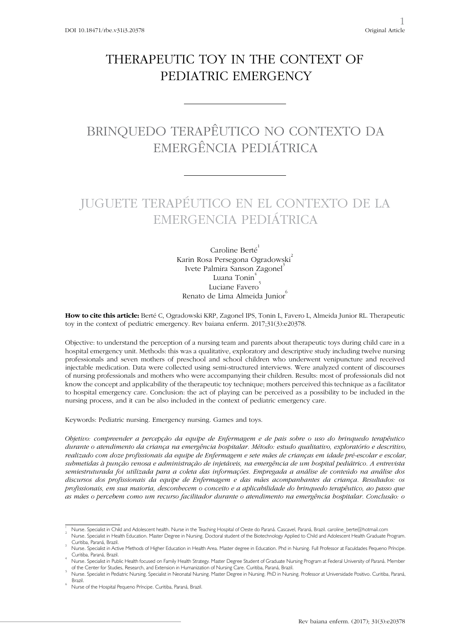# THERAPEUTIC TOY IN THE CONTEXT OF PEDIATRIC EMERGENCY

# BRINQUEDO TERAPÊUTICO NO CONTEXTO DA EMERGÊNCIA PEDIÁTRICA

# JUGUETE TERAPÉUTICO EN EL CONTEXTO DE LA EMERGENCIA PEDIÁTRICA

Caroline Berté<sup>1</sup> Karin Rosa Persegona Ogradowski Ivete Palmira Sanson Zagonel<sup>®</sup> Luana Tonin Luciane Favero Renato de Lima Almeida Junior

**How to cite this article:** Berté C, Ogradowski KRP, Zagonel IPS, Tonin L, Favero L, Almeida Junior RL. Therapeutic toy in the context of pediatric emergency. Rev baiana enferm. 2017;31(3):e20378.

Objective: to understand the perception of a nursing team and parents about therapeutic toys during child care in a hospital emergency unit. Methods: this was a qualitative, exploratory and descriptive study including twelve nursing professionals and seven mothers of preschool and school children who underwent venipuncture and received injectable medication. Data were collected using semi-structured interviews. Were analyzed content of discourses of nursing professionals and mothers who were accompanying their children. Results: most of professionals did not know the concept and applicability of the therapeutic toy technique; mothers perceived this technique as a facilitator to hospital emergency care. Conclusion: the act of playing can be perceived as a possibility to be included in the nursing process, and it can be also included in the context of pediatric emergency care.

Keywords: Pediatric nursing. Emergency nursing. Games and toys.

*Objetivo: compreender a percepção da equipe de Enfermagem e de pais sobre o uso do brinquedo terapêutico durante o atendimento da criança na emergência hospitalar. Método: estudo qualitativo, exploratório e descritivo, realizado com doze profissionais da equipe de Enfermagem e sete mães de crianças em idade pré-escolar e escolar, submetidas à punção venosa e administração de injetáveis, na emergência de um hospital pediátrico. A entrevista semiestruturada foi utilizada para a coleta das informações. Empregada a análise de conteúdo na análise dos discursos dos profissionais da equipe de Enfermagem e das mães acompanhantes da criança. Resultados: os profissionais, em sua maioria, desconhecem o conceito e a aplicabilidade do brinquedo terapêutico, ao passo que as mães o percebem como um recurso facilitador durante o atendimento na emergência hospitalar. Conclusão: o* 

Nurse. Specialist in Child and Adolescent health. Nurse in the Teaching Hospital of Oeste do Paraná. Cascavel, Paraná, Brazil. caroline\_berte@hotmail.com

Nurse. Specialist in Health Education. Master Degree in Nursing. Doctoral student of the Biotechnology Applied to Child and Adolescent Health Graduate Program. Curitiba, Paraná, Brazil.

Nurse. Specialist in Active Methods of Higher Education in Health Area. Master degree in Education. Phd in Nursing. Full Professor at Faculdades Pequeno Príncipe. Curitiba, Paraná, Brazil. <sup>4</sup>

Nurse. Specialist in Public Health focused on Family Health Strategy. Master Degree Student of Graduate Nursing Program at Federal University of Paraná. Member of the Center for Studies, Research, and Extension in Humanization of Nursing Care. Curitiba, Paraná, Brazil. <sup>5</sup>

Nurse. Specialist in Pediatric Nursing. Specialist in Neonatal Nursing. Master Degree in Nursing. PhD in Nursing. Professor at Universidade Positivo. Curitiba, Paraná, **Brazil** 

Nurse of the Hospital Pequeno Príncipe. Curitiba, Paraná, Brazil.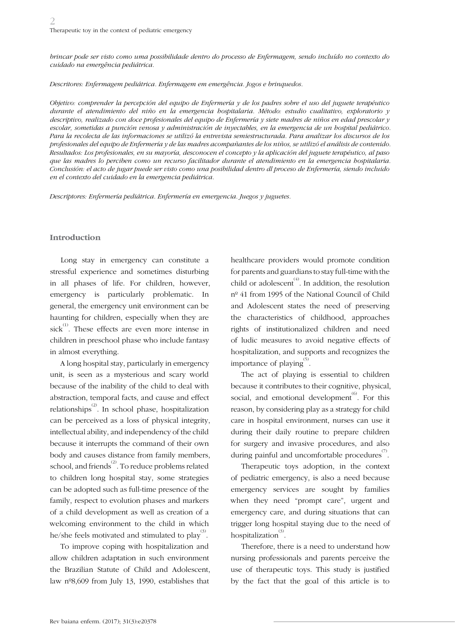*brincar pode ser visto como uma possibilidade dentro do processo de Enfermagem, sendo incluído no contexto do cuidado na emergência pediátrica.*

*Descritores: Enfermagem pediátrica. Enfermagem em emergência. Jogos e brinquedos.* 

*Objetivo: comprender la percepción del equipo de Enfermería y de los padres sobre el uso del juguete terapéutico durante el atendimiento del niño en la emergencia hospitalaria. Método: estudio cualitativo, exploratorio y descriptivo, realizado con doce profesionales del equipo de Enfermería y siete madres de niños en edad prescolar y escolar, sometidas a punción venosa y administración de inyectables, en la emergencia de un hospital pediátrico. Para la recolecta de las informaciones se utilizó la entrevista semiestructurada. Para analizar los discursos de los profesionales del equipo de Enfermería y de las madres acompañantes de los niños, se utilizó el análisis de contenido. Resultados: Los profesionales, en su mayoría, desconocen el concepto y la aplicación del juguete terapéutico, al paso que las madres lo perciben como un recurso facilitador durante el atendimiento en la emergencia hospitalaria. Conclusión: el acto de jugar puede ser visto como una posibilidad dentro dl proceso de Enfermería, siendo incluido en el contexto del cuidado en la emergencia pediátrica.*

*Descriptores: Enfermería pediátrica. Enfermería en emergencia. Juegos y juguetes.*

#### **Introduction**

Long stay in emergency can constitute a stressful experience and sometimes disturbing in all phases of life. For children, however, emergency is particularly problematic. In general, the emergency unit environment can be haunting for children, especially when they are sick<sup>(1)</sup>. These effects are even more intense in children in preschool phase who include fantasy in almost everything.

A long hospital stay, particularly in emergency unit, is seen as a mysterious and scary world because of the inability of the child to deal with abstraction, temporal facts, and cause and effect relationships<sup>(2)</sup>. In school phase, hospitalization can be perceived as a loss of physical integrity, intellectual ability, and independency of the child because it interrupts the command of their own body and causes distance from family members, school, and friends<sup>(2)</sup>. To reduce problems related to children long hospital stay, some strategies can be adopted such as full-time presence of the family, respect to evolution phases and markers of a child development as well as creation of a welcoming environment to the child in which he/she feels motivated and stimulated to play  $\overset{(3)}{)}$ .

To improve coping with hospitalization and allow children adaptation in such environment the Brazilian Statute of Child and Adolescent, law nº8,609 from July 13, 1990, establishes that

healthcare providers would promote condition for parents and guardians to stay full-time with the child or adolescent<sup>(4)</sup>. In addition, the resolution nº 41 from 1995 of the National Council of Child and Adolescent states the need of preserving the characteristics of childhood, approaches rights of institutionalized children and need of ludic measures to avoid negative effects of hospitalization, and supports and recognizes the importance of playing  $\overset{(5)}{.}$ 

The act of playing is essential to children because it contributes to their cognitive, physical, social, and emotional development<sup> $(6)$ </sup>. For this reason, by considering play as a strategy for child care in hospital environment, nurses can use it during their daily routine to prepare children for surgery and invasive procedures, and also during painful and uncomfortable procedures $\overset{\scriptscriptstyle{(7)}}{\scriptscriptstyle{(7)}}$ .

Therapeutic toys adoption, in the context of pediatric emergency, is also a need because emergency services are sought by families when they need "prompt care", urgent and emergency care, and during situations that can trigger long hospital staying due to the need of hospitalization<sup>(3)</sup>.

Therefore, there is a need to understand how nursing professionals and parents perceive the use of therapeutic toys. This study is justified by the fact that the goal of this article is to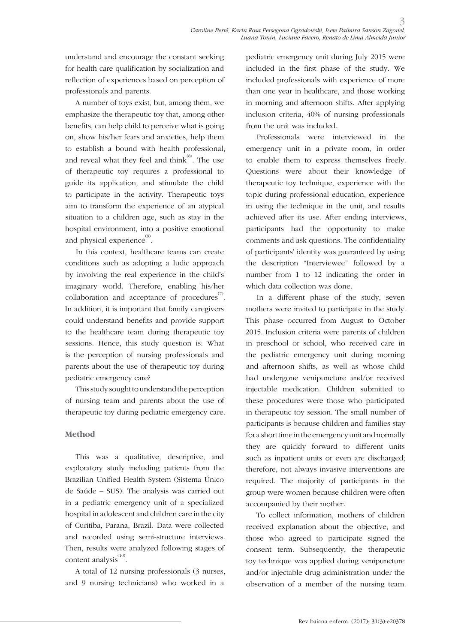understand and encourage the constant seeking for health care qualification by socialization and reflection of experiences based on perception of professionals and parents.

A number of toys exist, but, among them, we emphasize the therapeutic toy that, among other benefits, can help child to perceive what is going on, show his/her fears and anxieties, help them to establish a bound with health professional, and reveal what they feel and think $^{(8)}$ . The use of therapeutic toy requires a professional to guide its application, and stimulate the child to participate in the activity. Therapeutic toys aim to transform the experience of an atypical situation to a children age, such as stay in the hospital environment, into a positive emotional and physical experience $^{\text{\tiny{(9)}}}.$ 

In this context, healthcare teams can create conditions such as adopting a ludic approach by involving the real experience in the child's imaginary world. Therefore, enabling his/her collaboration and acceptance of procedures $\overset{\scriptscriptstyle{(7)}}{\phantom{\pi}}$ . In addition, it is important that family caregivers could understand benefits and provide support to the healthcare team during therapeutic toy sessions. Hence, this study question is: What is the perception of nursing professionals and parents about the use of therapeutic toy during pediatric emergency care?

This study sought to understand the perception of nursing team and parents about the use of therapeutic toy during pediatric emergency care.

#### **Method**

This was a qualitative, descriptive, and exploratory study including patients from the Brazilian Unified Health System (Sistema Único de Saúde – SUS). The analysis was carried out in a pediatric emergency unit of a specialized hospital in adolescent and children care in the city of Curitiba, Parana, Brazil. Data were collected and recorded using semi-structure interviews. Then, results were analyzed following stages of content analysis<sup>(10)</sup>.

A total of 12 nursing professionals (3 nurses, and 9 nursing technicians) who worked in a

pediatric emergency unit during July 2015 were included in the first phase of the study. We included professionals with experience of more than one year in healthcare, and those working in morning and afternoon shifts. After applying inclusion criteria, 40% of nursing professionals from the unit was included.

Professionals were interviewed in the emergency unit in a private room, in order to enable them to express themselves freely. Questions were about their knowledge of therapeutic toy technique, experience with the topic during professional education, experience in using the technique in the unit, and results achieved after its use. After ending interviews, participants had the opportunity to make comments and ask questions. The confidentiality of participants' identity was guaranteed by using the description "Interviewee" followed by a number from 1 to 12 indicating the order in which data collection was done.

In a different phase of the study, seven mothers were invited to participate in the study. This phase occurred from August to October 2015. Inclusion criteria were parents of children in preschool or school, who received care in the pediatric emergency unit during morning and afternoon shifts, as well as whose child had undergone venipuncture and/or received injectable medication. Children submitted to these procedures were those who participated in therapeutic toy session. The small number of participants is because children and families stay for a short time in the emergency unit and normally they are quickly forward to different units such as inpatient units or even are discharged; therefore, not always invasive interventions are required. The majority of participants in the group were women because children were often accompanied by their mother.

To collect information, mothers of children received explanation about the objective, and those who agreed to participate signed the consent term. Subsequently, the therapeutic toy technique was applied during venipuncture and/or injectable drug administration under the observation of a member of the nursing team.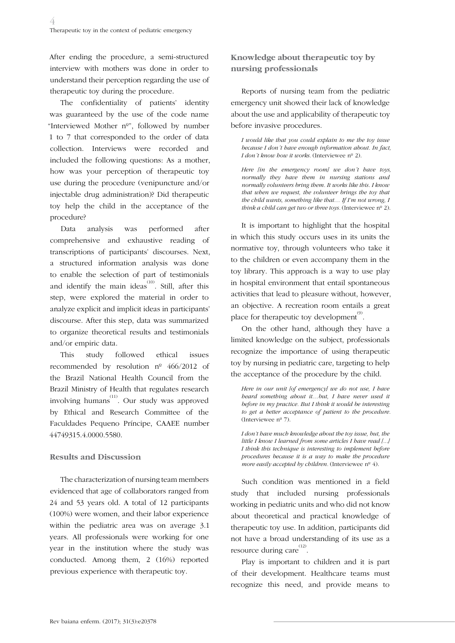After ending the procedure, a semi-structured interview with mothers was done in order to understand their perception regarding the use of therapeutic toy during the procedure.

The confidentiality of patients' identity was guaranteed by the use of the code name "Interviewed Mother nº", followed by number 1 to 7 that corresponded to the order of data collection. Interviews were recorded and included the following questions: As a mother, how was your perception of therapeutic toy use during the procedure (venipuncture and/or injectable drug administration)? Did therapeutic toy help the child in the acceptance of the procedure?

Data analysis was performed after comprehensive and exhaustive reading of transcriptions of participants' discourses. Next, a structured information analysis was done to enable the selection of part of testimonials and identify the main ideas<sup> $(10)$ </sup>. Still, after this step, were explored the material in order to analyze explicit and implicit ideas in participants' discourse. After this step, data was summarized to organize theoretical results and testimonials and/or empiric data.

This study followed ethical issues recommended by resolution nº 466/2012 of the Brazil National Health Council from the Brazil Ministry of Health that regulates research involving humans<sup> $(11)$ </sup>. Our study was approved by Ethical and Research Committee of the Faculdades Pequeno Príncipe, CAAEE number 44749315.4.0000.5580.

### **Results and Discussion**

The characterization of nursing team members evidenced that age of collaborators ranged from 24 and 53 years old. A total of 12 participants (100%) were women, and their labor experience within the pediatric area was on average 3.1 years. All professionals were working for one year in the institution where the study was conducted. Among them, 2 (16%) reported previous experience with therapeutic toy.

## **Knowledge about therapeutic toy by nursing professionals**

Reports of nursing team from the pediatric emergency unit showed their lack of knowledge about the use and applicability of therapeutic toy before invasive procedures.

*I would like that you could explain to me the toy issue because I don´t have enough information about. In fact, I don't know how it works.* (Interviewee nº 2).

*Here [in the emergency room] we don´t have toys, normally they have them in nursing stations and normally volunteers bring them. It works like this. I know that when we request, the volunteer brings the toy that the child wants, something like that… If I'm not wrong, I think a child can get two or three toys.* (Interviewee  $n^{\circ}$  2).

It is important to highlight that the hospital in which this study occurs uses in its units the normative toy, through volunteers who take it to the children or even accompany them in the toy library. This approach is a way to use play in hospital environment that entail spontaneous activities that lead to pleasure without, however, an objective. A recreation room entails a great place for therapeutic toy development<sup>(9)</sup>.

On the other hand, although they have a limited knowledge on the subject, professionals recognize the importance of using therapeutic toy by nursing in pediatric care, targeting to help the acceptance of the procedure by the child.

*Here in our unit [of emergency] we do not use, I have heard something about it…but, I have never used it before in my practice. But I think it would be interesting to get a better acceptance of patient to the procedure.*  (Interviewee nº 7).

*I don't have much knowledge about the toy issue, but, the little I know I learned from some articles I have read [...] I think this technique is interesting to implement before procedures because it is a way to make the procedure more easily accepted by children.* (Interviewee nº 4).

Such condition was mentioned in a field study that included nursing professionals working in pediatric units and who did not know about theoretical and practical knowledge of therapeutic toy use. In addition, participants did not have a broad understanding of its use as a resource during care $^{(12)}$ .

Play is important to children and it is part of their development. Healthcare teams must recognize this need, and provide means to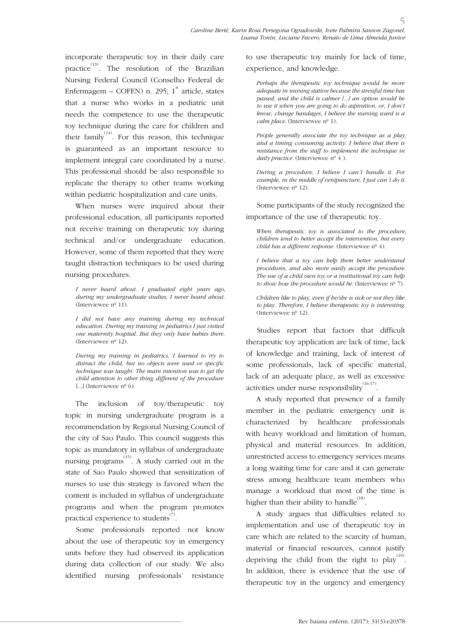incorporate therapeutic toy in their daily care practice<sup>(13)</sup>. The resolution of the Brazilian Nursing Federal Council (Conselho Federal de Enfermagem – COFEN) n. 295,  $1^{\text{st}}$  article, states that a nurse who works in a pediatric unit needs the competence to use the therapeutic toy technique during the care for children and their family  $^{(14)}$ . For this reason, this technique is guaranteed as an important resource to implement integral care coordinated by a nurse. This professional should be also responsible to replicate the therapy to other teams working within pediatric hospitalization and care units.

When nurses were inquired about their professional education, all participants reported not receive training on therapeutic toy during technical and/or undergraduate education. However, some of them reported that they were taught distraction techniques to be used during nursing procedures.

*I never heard about. I graduated eight years ago, during my undergraduate studies, I never heard about.*  (Interviewee nº 11).

*I did not have any training during my technical education. During my training in pediatrics I just visited one maternity hospital. But they only have babies there.*  (Interviewee nº 12).

*During my training in pediatrics, I learned to try to distract the child, but no objects were used or specific technique was taught. The main intention was to get the child attention to other thing different of the procedure*  [...] (Interviewee  $n^{\circ}$  6).

The inclusion of toy/therapeutic toy topic in nursing undergraduate program is a recommendation by Regional Nursing Council of the city of Sao Paulo. This council suggests this topic as mandatory in syllabus of undergraduate nursing programs<sup> $(15)$ </sup>. A study carried out in the state of Sao Paulo showed that sensitization of nurses to use this strategy is favored when the content is included in syllabus of undergraduate programs and when the program promotes practical experience to students $^{\text{\tiny{(7)}}}.$ 

Some professionals reported not know about the use of therapeutic toy in emergency units before they had observed its application during data collection of our study. We also identified nursing professionals' resistance to use therapeutic toy mainly for lack of time, experience, and knowledge.

*Perhaps the therapeutic toy technique would be more adequate in nursing station because the stressful time has passed, and the child is calmer [...] an option would be to use it when you are going to do aspiration, or, I don't know, change bandages, I believe the nursing ward is a calm place.* (Interviewee nº 1).

*People generally associate the toy technique as a play, and a timing consuming activity. I believe that there is resistance from the staff to implement the technique in daily practice.* (Interviewee nº 4).

*During a procedure, I believe I can´t handle it. For example, in the middle of venipuncture, I just can´t do it.*  (Interviewee nº 12).

Some participants of the study recognized the importance of the use of therapeutic toy.

*When therapeutic toy is associated to the procedure, children tend to better accept the intervention, but every child has a different response*. (Interviewee nº 4).

*I believe that a toy can help them better understand procedures, and also more easily accept the procedure. The use of a child own toy or a institutional toy can help to show how the procedure would be.* (Interviewee  $n^{\circ}$  7).

*Children like to play, even if he/she is sick or not they like to play. Therefore, I believe therapeutic toy is interesting.*  (Interviewee nº 12).

Studies report that factors that difficult therapeutic toy application are lack of time, lack of knowledge and training, lack of interest of some professionals, lack of specific material, lack of an adequate place, as well as excessive activities under nurse responsibility  $^{(16-17)}$ .

A study reported that presence of a family member in the pediatric emergency unit is characterized by healthcare professionals with heavy workload and limitation of human, physical and material resources. In addition, unrestricted access to emergency services means a long waiting time for care and it can generate stress among healthcare team members who manage a workload that most of the time is higher than their ability to handle $^{(18)}$ .

A study argues that difficulties related to implementation and use of therapeutic toy in care which are related to the scarcity of human, material or financial resources, cannot justify depriving the child from the right to play<sup>(19)</sup>. In addition, there is evidence that the use of therapeutic toy in the urgency and emergency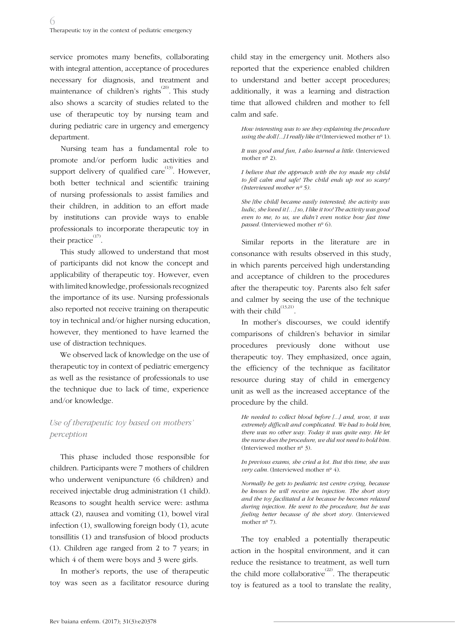service promotes many benefits, collaborating with integral attention, acceptance of procedures necessary for diagnosis, and treatment and maintenance of children's rights $^{(20)}$ . This study also shows a scarcity of studies related to the use of therapeutic toy by nursing team and during pediatric care in urgency and emergency department.

Nursing team has a fundamental role to promote and/or perform ludic activities and support delivery of qualified care  $(13)$ . However, both better technical and scientific training of nursing professionals to assist families and their children, in addition to an effort made by institutions can provide ways to enable professionals to incorporate therapeutic toy in their practice $^{(17)}$ .

This study allowed to understand that most of participants did not know the concept and applicability of therapeutic toy. However, even with limited knowledge, professionals recognized the importance of its use. Nursing professionals also reported not receive training on therapeutic toy in technical and/or higher nursing education, however, they mentioned to have learned the use of distraction techniques.

We observed lack of knowledge on the use of therapeutic toy in context of pediatric emergency as well as the resistance of professionals to use the technique due to lack of time, experience and/or knowledge.

## *Use of therapeutic toy based on mothers' perception*

This phase included those responsible for children. Participants were 7 mothers of children who underwent venipuncture (6 children) and received injectable drug administration (1 child). Reasons to sought health service were: asthma attack (2), nausea and vomiting (1), bowel viral infection (1), swallowing foreign body (1), acute tonsillitis (1) and transfusion of blood products (1). Children age ranged from 2 to 7 years; in which 4 of them were boys and 3 were girls.

In mother's reports, the use of therapeutic toy was seen as a facilitator resource during

child stay in the emergency unit. Mothers also reported that the experience enabled children to understand and better accept procedures; additionally, it was a learning and distraction time that allowed children and mother to fell calm and safe.

*How interesting was to see they explaining the procedure using the doll [...] I really like it!* (Interviewed mother  $n^{\circ}$  1).

*It was good and fun, I also learned a little.* (Interviewed mother  $n^{\circ}$  2).

*I believe that the approach with the toy made my child to fell calm and safe! The child ends up not so scary! (Interviewed mother nº 5).*

*She [the child] became easily interested; the activity was ludic, she loved it […] so, I like it too! The activity was good even to me, to us, we didn't even notice how fast time passed.* (Interviewed mother nº 6).

Similar reports in the literature are in consonance with results observed in this study, in which parents perceived high understanding and acceptance of children to the procedures after the therapeutic toy. Parents also felt safer and calmer by seeing the use of the technique with their child $^{(13,21)}$ .

In mother's discourses, we could identify comparisons of children's behavior in similar procedures previously done without use therapeutic toy. They emphasized, once again, the efficiency of the technique as facilitator resource during stay of child in emergency unit as well as the increased acceptance of the procedure by the child.

*He needed to collect blood before [...] and, wow, it was extremely difficult and complicated. We had to hold him, there was no other way. Today it was quite easy. He let the nurse does the procedure, we did not need to hold him.*  (Interviewed mother nº 3).

*In previous exams, she cried a lot. But this time, she was very calm.* (Interviewed mother  $n^{\circ}$  4).

*Normally he gets to pediatric test centre crying, because he knows he will receive an injection. The short story and the toy facilitated a lot because he becomes relaxed during injection. He went to the procedure, but he was feeling better because of the short story.* (Interviewed mother nº 7).

The toy enabled a potentially therapeutic action in the hospital environment, and it can reduce the resistance to treatment, as well turn the child more collaborative<sup> $(22)$ </sup>. The therapeutic toy is featured as a tool to translate the reality,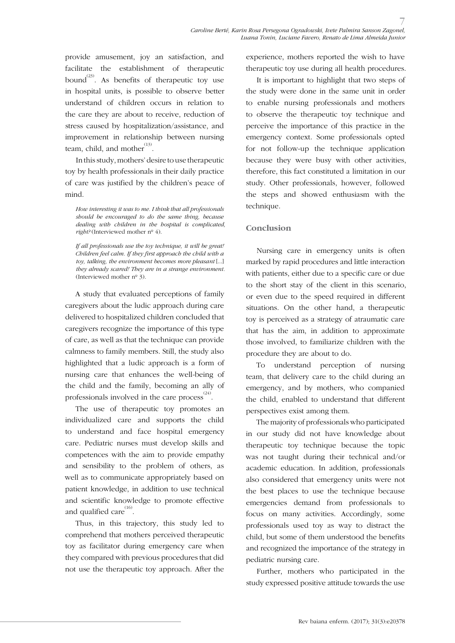provide amusement, joy an satisfaction, and facilitate the establishment of therapeutic bound<sup>(23)</sup>. As benefits of the rapeutic toy use in hospital units, is possible to observe better understand of children occurs in relation to the care they are about to receive, reduction of stress caused by hospitalization/assistance, and improvement in relationship between nursing team, child, and mother  $^{(13)}$ .

In this study, mothers' desire to use therapeutic toy by health professionals in their daily practice of care was justified by the children's peace of mind.

*How interesting it was to me. I think that all professionals should be encouraged to do the same thing, because dealing with children in the hospital is complicated, right?* (Interviewed mother nº 4).

*If all professionals use the toy technique, it will be great! Children feel calm. If they first approach the child with a toy, talking, the environment becomes more pleasant* [...] *they already scared! They are in a strange environment.*  (Interviewed mother nº 3).

A study that evaluated perceptions of family caregivers about the ludic approach during care delivered to hospitalized children concluded that caregivers recognize the importance of this type of care, as well as that the technique can provide calmness to family members. Still, the study also highlighted that a ludic approach is a form of nursing care that enhances the well-being of the child and the family, becoming an ally of professionals involved in the care process<sup> $(24)$ </sup>.

The use of therapeutic toy promotes an individualized care and supports the child to understand and face hospital emergency care. Pediatric nurses must develop skills and competences with the aim to provide empathy and sensibility to the problem of others, as well as to communicate appropriately based on patient knowledge, in addition to use technical and scientific knowledge to promote effective and qualified care  $^{(16)}$ .

Thus, in this trajectory, this study led to comprehend that mothers perceived therapeutic toy as facilitator during emergency care when they compared with previous procedures that did not use the therapeutic toy approach. After the experience, mothers reported the wish to have therapeutic toy use during all health procedures.

It is important to highlight that two steps of the study were done in the same unit in order to enable nursing professionals and mothers to observe the therapeutic toy technique and perceive the importance of this practice in the emergency context. Some professionals opted for not follow-up the technique application because they were busy with other activities, therefore, this fact constituted a limitation in our study. Other professionals, however, followed the steps and showed enthusiasm with the technique.

### **Conclusion**

Nursing care in emergency units is often marked by rapid procedures and little interaction with patients, either due to a specific care or due to the short stay of the client in this scenario, or even due to the speed required in different situations. On the other hand, a therapeutic toy is perceived as a strategy of atraumatic care that has the aim, in addition to approximate those involved, to familiarize children with the procedure they are about to do.

To understand perception of nursing team, that delivery care to the child during an emergency, and by mothers, who companied the child, enabled to understand that different perspectives exist among them.

The majority of professionals who participated in our study did not have knowledge about therapeutic toy technique because the topic was not taught during their technical and/or academic education. In addition, professionals also considered that emergency units were not the best places to use the technique because emergencies demand from professionals to focus on many activities. Accordingly, some professionals used toy as way to distract the child, but some of them understood the benefits and recognized the importance of the strategy in pediatric nursing care.

Further, mothers who participated in the study expressed positive attitude towards the use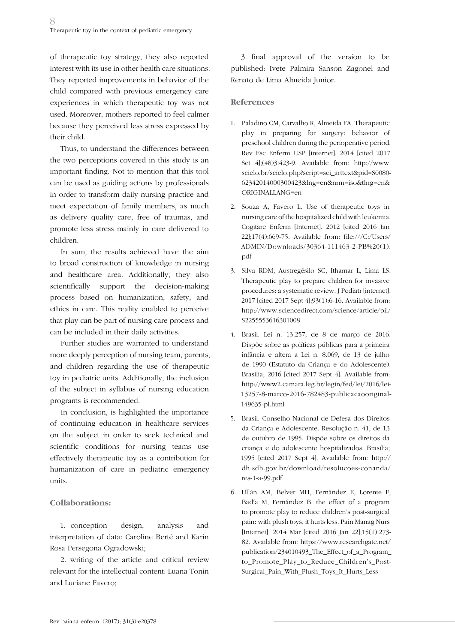of therapeutic toy strategy, they also reported interest with its use in other health care situations. They reported improvements in behavior of the child compared with previous emergency care experiences in which therapeutic toy was not used. Moreover, mothers reported to feel calmer because they perceived less stress expressed by their child.

Thus, to understand the differences between the two perceptions covered in this study is an important finding. Not to mention that this tool can be used as guiding actions by professionals in order to transform daily nursing practice and meet expectation of family members, as much as delivery quality care, free of traumas, and promote less stress mainly in care delivered to children.

In sum, the results achieved have the aim to broad construction of knowledge in nursing and healthcare area. Additionally, they also scientifically support the decision-making process based on humanization, safety, and ethics in care. This reality enabled to perceive that play can be part of nursing care process and can be included in their daily activities.

Further studies are warranted to understand more deeply perception of nursing team, parents, and children regarding the use of therapeutic toy in pediatric units. Additionally, the inclusion of the subject in syllabus of nursing education programs is recommended.

In conclusion, is highlighted the importance of continuing education in healthcare services on the subject in order to seek technical and scientific conditions for nursing teams use effectively therapeutic toy as a contribution for humanization of care in pediatric emergency units.

## **Collaborations:**

1. conception design, analysis and interpretation of data: Caroline Berté and Karin Rosa Persegona Ogradowski;

2. writing of the article and critical review relevant for the intellectual content: Luana Tonin and Luciane Favero;

3. final approval of the version to be published: Ivete Palmira Sanson Zagonel and Renato de Lima Almeida Junior.

### **References**

- 1. Paladino CM, Carvalho R, Almeida FA. Therapeutic play in preparing for surgery: behavior of preschool children during the perioperative period. Rev Esc Enferm USP [internet]. 2014 [cited 2017 Set 4];(48)3:423-9. Available from: http://www. scielo.br/scielo.php?script=sci\_arttext&pid=S0080- 62342014000300423&lng=en&nrm=iso&tlng=en& ORIGINALLANG=en
- 2. Souza A, Favero L. Use of therapeutic toys in nursing care of the hospitalized child with leukemia. Cogitare Enferm [Internet]. 2012 [cited 2016 Jan 22];17(4):669-75. Available from: file:///C:/Users/ ADMIN/Downloads/30364-111463-2-PB%20(1). pdf
- 3. Silva RDM, Austregésilo SC, Ithamar L, Lima LS. Therapeutic play to prepare children for invasive procedures: a systematic review. J Pediatr [internet]. 2017 [cited 2017 Sept 4];93(1):6-16. Available from: http://www.sciencedirect.com/science/article/pii/ S2255553616301008
- 4. Brasil. Lei n. 13.257, de 8 de março de 2016. Dispõe sobre as políticas públicas para a primeira infância e altera a Lei n. 8.069, de 13 de julho de 1990 (Estatuto da Criança e do Adolescente). Brasília; 2016 [cited 2017 Sept 4]. Available from: http://www2.camara.leg.br/legin/fed/lei/2016/lei-13257-8-marco-2016-782483-publicacaooriginal-149635-pl.html
- 5. Brasil. Conselho Nacional de Defesa dos Direitos da Criança e Adolescente. Resolução n. 41, de 13 de outubro de 1995. Dispõe sobre os direitos da criança e do adolescente hospitalizados. Brasília; 1995 [cited 2017 Sept 4]. Available from: http:// dh.sdh.gov.br/download/resolucoes-conanda/ res-1-a-99.pdf
- 6. Ullán AM, Belver MH, Fernández E, Lorente F, Badía M, Fernández B. the effect of a program to promote play to reduce children's post-surgical pain: with plush toys, it hurts less. Pain Manag Nurs [Internet]. 2014 Mar [cited 2016 Jan 22];15(1):273- 82. Available from: https://www.researchgate.net/ publication/234010493\_The\_Effect\_of\_a\_Program\_ to\_Promote\_Play\_to\_Reduce\_Children's\_Post-Surgical\_Pain\_With\_Plush\_Toys\_It\_Hurts\_Less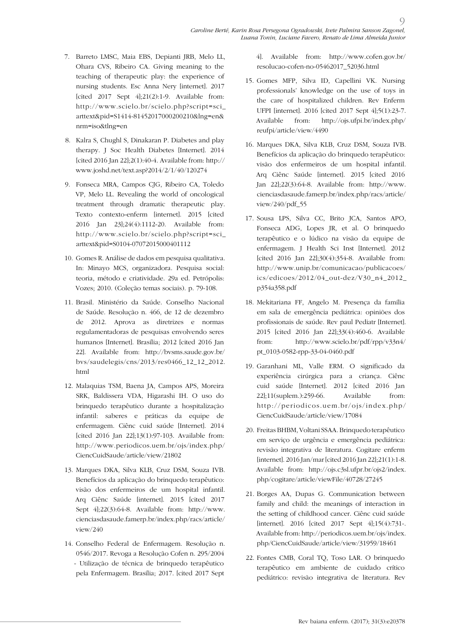- 7. Barreto LMSC, Maia EBS, Depianti JRB, Melo LL, Ohara CVS, Ribeiro CA. Giving meaning to the teaching of therapeutic play: the experience of nursing students. Esc Anna Nery [internet]. 2017 [cited 2017 Sept 4];21(2):1-9. Available from: http://www.scielo.br/scielo.php?script=sci\_ arttext&pid=S1414-81452017000200210&lng=en& nrm=iso&tlng=en
- 8. Kalra S, Chughl S, Dinakaran P. Diabetes and play therapy. J Soc Health Diabetes [Internet]. 2014 [cited 2016 Jan 22];2(1):40-4. Available from: http:// www.joshd.net/text.asp?2014/2/1/40/120274
- 9. Fonseca MRA, Campos CJG, Ribeiro CA, Toledo VP, Melo LL. Revealing the world of oncological treatment through dramatic therapeutic play. Texto contexto-enferm [internet]. 2015 [cited 2016 Jan 23];24(4):1112-20. Available from: http://www.scielo.br/scielo.php?script=sci\_ arttext&pid=S0104-07072015000401112
- 10. Gomes R. Análise de dados em pesquisa qualitativa. In: Minayo MCS, organizadora. Pesquisa social: teoria, método e criatividade. 29a ed. Petrópolis: Vozes; 2010. (Coleção temas sociais). p. 79-108.
- 11. Brasil. Ministério da Saúde. Conselho Nacional de Saúde. Resolução n. 466, de 12 de dezembro de 2012. Aprova as diretrizes e normas regulamentadoras de pesquisas envolvendo seres humanos [Internet]. Brasília; 2012 [cited 2016 Jan 22]. Available from: http://bvsms.saude.gov.br/ bvs/saudelegis/cns/2013/res0466\_12\_12\_2012. html
- 12. Malaquias TSM, Baena JA, Campos APS, Moreira SRK, Baldissera VDA, Higarashi IH. O uso do brinquedo terapêutico durante a hospitalização infantil: saberes e práticas da equipe de enfermagem. Ciênc cuid saúde [Internet]. 2014 [cited 2016 Jan 22];13(1):97-103. Available from: http://www.periodicos.uem.br/ojs/index.php/ CiencCuidSaude/article/view/21802
- 13. Marques DKA, Silva KLB, Cruz DSM, Souza IVB. Benefícios da aplicação do brinquedo terapêutico: visão dos enfermeiros de um hospital infantil. Arq Ciênc Saúde [internet]. 2015 [cited 2017 Sept 4];22(3):64-8. Available from: http://www. cienciasdasaude.famerp.br/index.php/racs/article/ view/240
- 14. Conselho Federal de Enfermagem. Resolução n. 0546/2017. Revoga a Resolução Cofen n. 295/2004 - Utilização de técnica de brinquedo terapêutico pela Enfermagem. Brasília; 2017. [cited 2017 Sept

4]. Available from: http://www.cofen.gov.br/ resolucao-cofen-no-05462017\_52036.html

 $\overline{O}$ 

- 15. Gomes MFP, Silva ID, Capellini VK. Nursing professionals' knowledge on the use of toys in the care of hospitalized children. Rev Enferm UFPI [internet]. 2016 [cited 2017 Sept 4];5(1):23-7. Available from: http://ojs.ufpi.br/index.php/ reufpi/article/view/4490
- 16. Marques DKA, Silva KLB, Cruz DSM, Souza IVB. Benefícios da aplicação do brinquedo terapêutico: visão dos enfermeiros de um hospital infantil. Arq Ciênc Saúde [internet]. 2015 [cited 2016 Jan 22];22(3):64-8. Available from: http://www. cienciasdasaude.famerp.br/index.php/racs/article/ view/240/pdf\_55
- 17. Sousa LPS, Silva CC, Brito JCA, Santos APO, Fonseca ADG, Lopes JR, et al. O brinquedo terapêutico e o lúdico na visão da equipe de enfermagem. J Health Sci Inst [Internet]. 2012 [cited 2016 Jan 22];30(4):354-8. Available from: http://www.unip.br/comunicacao/publicacoes/ ics/edicoes/2012/04\_out-dez/V30\_n4\_2012\_ p354a358.pdf
- 18. Mekitariana FF, Angelo M. Presença da família em sala de emergência pediátrica: opiniões dos profissionais de saúde. Rev paul Pediatr [Internet]. 2015 [cited 2016 Jan 22];33(4):460-6. Available from: http://www.scielo.br/pdf/rpp/v33n4/ pt\_0103-0582-rpp-33-04-0460.pdf
- 19. Garanhani ML, Valle ERM. O significado da experiência cirúrgica para a criança. Ciênc cuid saúde [Internet]. 2012 [cited 2016 Jan 22];11(suplem.):259-66. Available from: http://periodicos.uem.br/ojs/index.php/ CiencCuidSaude/article/view/17084
- 20. Freitas BHBM, Voltani SSAA. Brinquedo terapêutico em serviço de urgência e emergência pediátrica: revisão integrativa de literatura. Cogitare enferm [internet]. 2016 Jan/mar [cited 2016 Jan 22];21(1):1-8. Available from: http://ojs.c3sl.ufpr.br/ojs2/index. php/cogitare/article/viewFile/40728/27245
- 21. Borges AA, Dupas G. Communication between family and child: the meanings of interaction in the setting of childhood cancer. Ciênc cuid saúde [internet]. 2016 [cited 2017 Sept 4];15(4):731-. Available from: http://periodicos.uem.br/ojs/index. php/CiencCuidSaude/article/view/31959/18461
- 22. Fontes CMB, Coral TQ, Toso LAR. O brinquedo terapêutico em ambiente de cuidado crítico pediátrico: revisão integrativa de literatura. Rev